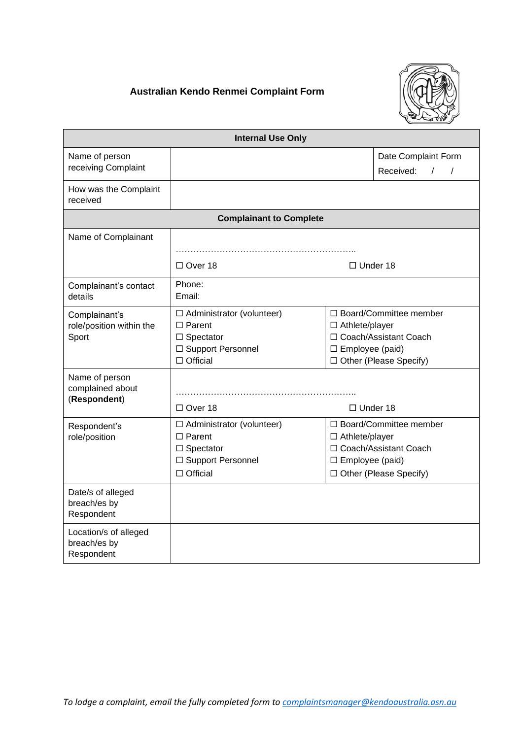## **Australian Kendo Renmei Complaint Form**



| <b>Internal Use Only</b>                            |                                                                                                                    |                                                                                                                                            |
|-----------------------------------------------------|--------------------------------------------------------------------------------------------------------------------|--------------------------------------------------------------------------------------------------------------------------------------------|
| Name of person                                      |                                                                                                                    | Date Complaint Form                                                                                                                        |
| receiving Complaint                                 |                                                                                                                    | Received:<br>$\sqrt{2}$<br>$\sqrt{ }$                                                                                                      |
| How was the Complaint<br>received                   |                                                                                                                    |                                                                                                                                            |
| <b>Complainant to Complete</b>                      |                                                                                                                    |                                                                                                                                            |
| Name of Complainant                                 |                                                                                                                    |                                                                                                                                            |
|                                                     |                                                                                                                    |                                                                                                                                            |
|                                                     | □ Over 18                                                                                                          | $\Box$ Under 18                                                                                                                            |
| Complainant's contact<br>details                    | Phone:<br>Email:                                                                                                   |                                                                                                                                            |
| Complainant's<br>role/position within the<br>Sport  | $\Box$ Administrator (volunteer)<br>$\Box$ Parent<br>$\square$ Spectator<br>□ Support Personnel<br>$\Box$ Official | $\Box$ Board/Committee member<br>$\Box$ Athlete/player<br>□ Coach/Assistant Coach<br>$\square$ Employee (paid)<br>□ Other (Please Specify) |
| Name of person<br>complained about<br>(Respondent)  | $\Box$ Over 18                                                                                                     | $\Box$ Under 18                                                                                                                            |
| Respondent's<br>role/position                       | $\Box$ Administrator (volunteer)<br>$\Box$ Parent<br>$\square$ Spectator<br>□ Support Personnel<br>$\Box$ Official | $\Box$ Board/Committee member<br>□ Athlete/player<br>□ Coach/Assistant Coach<br>$\square$ Employee (paid)<br>□ Other (Please Specify)      |
| Date/s of alleged<br>breach/es by<br>Respondent     |                                                                                                                    |                                                                                                                                            |
| Location/s of alleged<br>breach/es by<br>Respondent |                                                                                                                    |                                                                                                                                            |